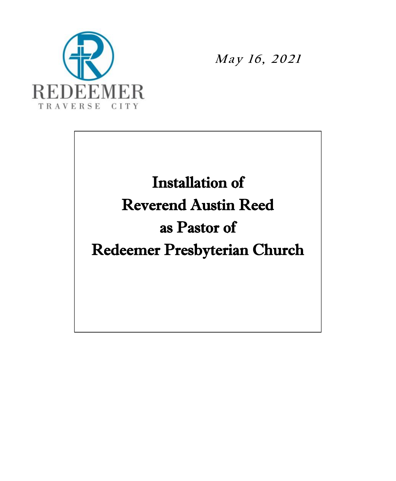

**<sup>M</sup> <sup>a</sup> <sup>y</sup> <sup>1</sup> <sup>6</sup> , <sup>2</sup> <sup>0</sup> <sup>2</sup> <sup>1</sup>**

# Installation of Reverend Austin Reed as Pastor of Redeemer Presbyterian Church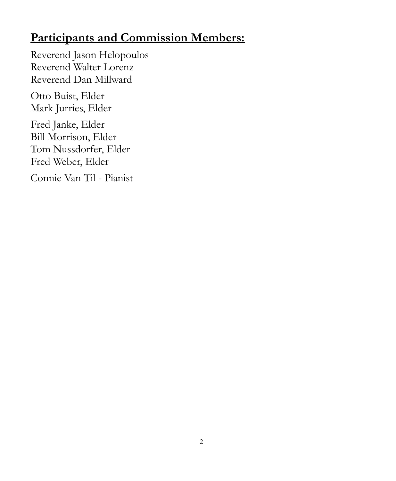### **Participants and Commission Members:**

Reverend Jason Helopoulos Reverend Walter Lorenz Reverend Dan Millward Otto Buist, Elder Mark Jurries, Elder Fred Janke, Elder Bill Morrison, Elder Tom Nussdorfer, Elder Fred Weber, Elder Connie Van Til - Pianist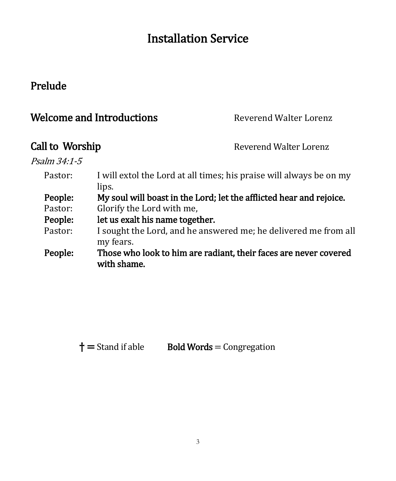## Installation Service

#### Prelude

| <b>Welcome and Introductions</b> | Reverend Walter Lorenz |
|----------------------------------|------------------------|
|                                  |                        |

Call to Worship Reverend Walter Lorenz

Psalm 34:1-5

- Pastor: I will extol the Lord at all times; his praise will always be on my lips.
- People: My soul will boast in the Lord; let the afflicted hear and rejoice. Pastor: Glorify the Lord with me,
- People: let us exalt his name together.
- Pastor: I sought the Lord, and he answered me; he delivered me from all my fears.
- People: Those who look to him are radiant, their faces are never covered with shame.

 $\dagger$  = Stand if able Bold Words = Congregation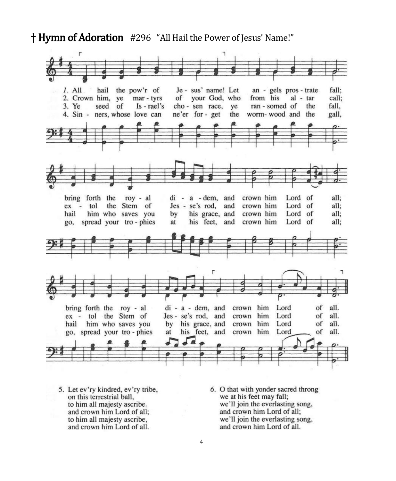† Hymn of Adoration #296 "All Hail the Power of Jesus' Name!"



5. Let ev'ry kindred, ev'ry tribe, on this terrestrial ball, to him all majesty ascribe. and crown him Lord of all; to him all majesty ascribe, and crown him Lord of all.

6. O that with yonder sacred throng we at his feet may fall; we'll join the everlasting song, and crown him Lord of all; we'll join the everlasting song, and crown him Lord of all.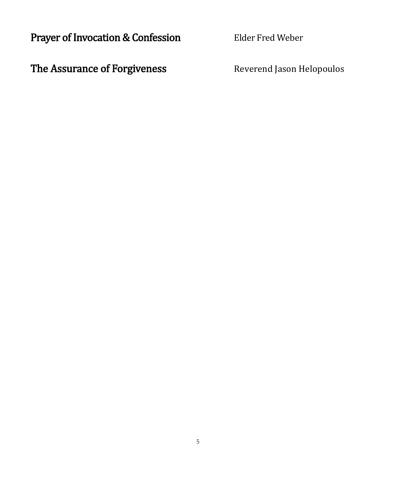Prayer of Invocation & Confession Elder Fred Weber

The Assurance of Forgiveness Reverend Jason Helopoulos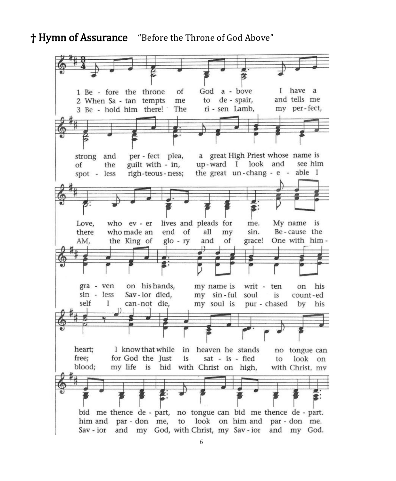#### **†** Hymn of Assurance "Before the Throne of God Above"

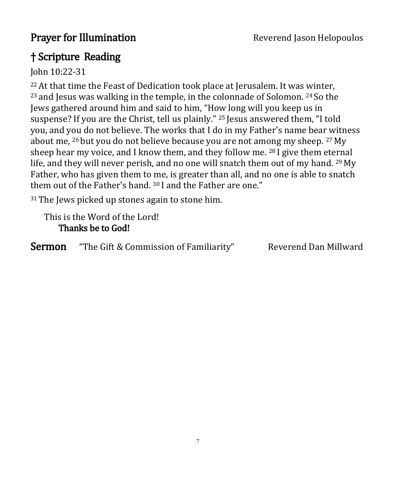#### † Scripture Reading

John 10:22-31

<sup>22</sup> At that time the Feast of Dedication took place at Jerusalem. It was winter, <sup>23</sup> and Jesus was walking in the temple, in the colonnade of Solomon. <sup>24</sup> So the Jews gathered around him and said to him, "How long will you keep us in suspense? If you are the Christ, tell us plainly." <sup>25</sup> Jesus answered them, "I told you, and you do not believe. The works that I do in my Father's name bear witness about me, <sup>26</sup> but you do not believe because you are not among my sheep. <sup>27</sup> My sheep hear my voice, and I know them, and they follow me. <sup>28</sup> I give them eternal life, and they will never perish, and no one will snatch them out of my hand. <sup>29</sup> My Father, who has given them to me, is greater than all, and no one is able to snatch them out of the Father's hand. <sup>30</sup> I and the Father are one."

<sup>31</sup>The Jews picked up stones again to stone him.

This is the Word of the Lord! Thanks be to God!

Sermon "The Gift & Commission of Familiarity" Reverend Dan Millward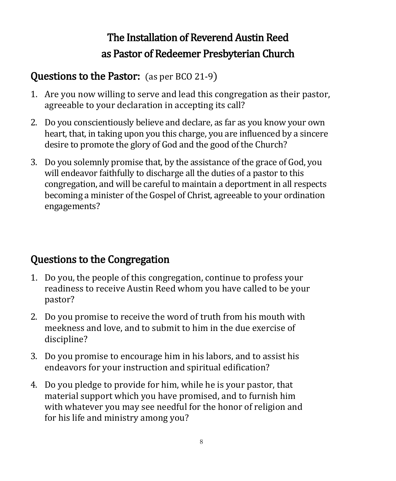# The Installation of Reverend Austin Reed as Pastor of Redeemer Presbyterian Church

### Questions to the Pastor: (as per BCO 21-9)

- 1. Are you now willing to serve and lead this congregation as their pastor, agreeable to your declaration in accepting its call?
- 2. Do you conscientiously believe and declare, as far as you know your own heart, that, in taking upon you this charge, you are influenced by a sincere desire to promote the glory of God and the good of the Church?
- 3. Do you solemnly promise that, by the assistance of the grace of God, you will endeavor faithfully to discharge all the duties of a pastor to this congregation, and will be careful to maintain a deportment in all respects becoming a minister of the Gospel of Christ, agreeable to your ordination engagements?

### Questions to the Congregation

- 1. Do you, the people of this congregation, continue to profess your readiness to receive Austin Reed whom you have called to be your pastor?
- 2. Do you promise to receive the word of truth from his mouth with meekness and love, and to submit to him in the due exercise of discipline?
- 3. Do you promise to encourage him in his labors, and to assist his endeavors for your instruction and spiritual edification?
- 4. Do you pledge to provide for him, while he is your pastor, that material support which you have promised, and to furnish him with whatever you may see needful for the honor of religion and for his life and ministry among you?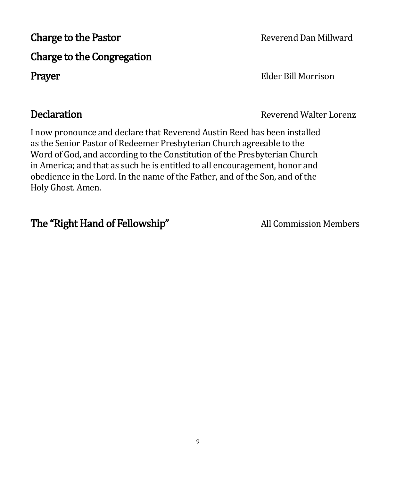# Charge to the Pastor **Reverend Dan Millward** Charge to the Congregation Prayer Elder Bill Morrison

I now pronounce and declare that Reverend Austin Reed has been installed as the Senior Pastor of Redeemer Presbyterian Church agreeable to the Word of God, and according to the Constitution of the Presbyterian Church in America; and that as such he is entitled to all encouragement, honor and obedience in the Lord. In the name of the Father, and of the Son, and of the Holy Ghost. Amen.

### The "Right Hand of Fellowship" All Commission Members

**Declaration** Reverend Walter Lorenz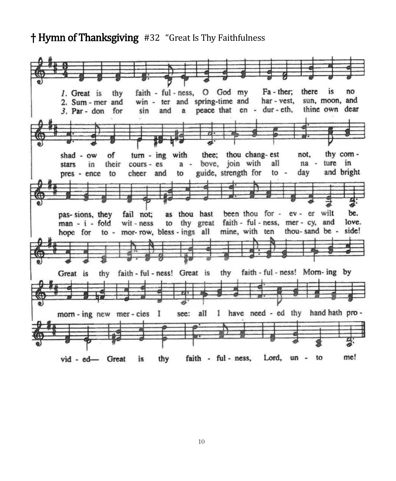#### † Hymn of Thanksgiving #32 "Great Is Thy Faithfulness

faith - ful - ness, O God my Fa - ther; there is no 1. Great is thy sun, moon, and win - ter and spring-time and har - vest, 2. Sum - mer and a peace that en - dur-eth, thine own dear  $3.$  Par - don for sin and thy comof turn - ing with thee: thou chang-est not,  $shad - ow$ bove, join with ture in in their cours - es  $a$ all na stars guide, strength for day and bright pres - ence to cheer and  $to$ to been thou for - ev - er wilt pas-sions, they fail not: as thou hast be. love. man - i - fold  $wit - ness$ to thy great faith - ful - ness, mer - cy, and side! to - mor-row, bless - ings all mine, with ten thou-sand be hope for thy faith - ful - ness! Great is thy faith - ful - ness! Morn- ing by Great is see: all I have need - ed thy hand hath promorn - ing new mer - cies I me! faith - ful - ness, Lord, un - to vid - ed- Great is thy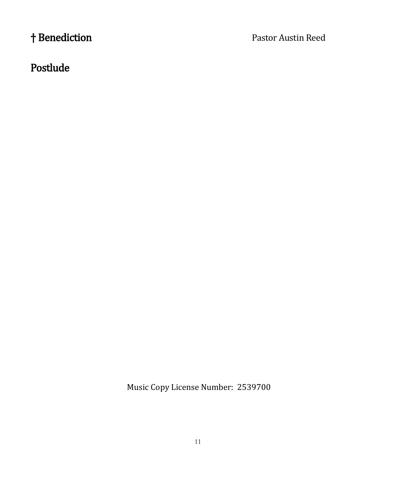† Benediction Pastor Austin Reed

### Postlude

Music Copy License Number: 2539700